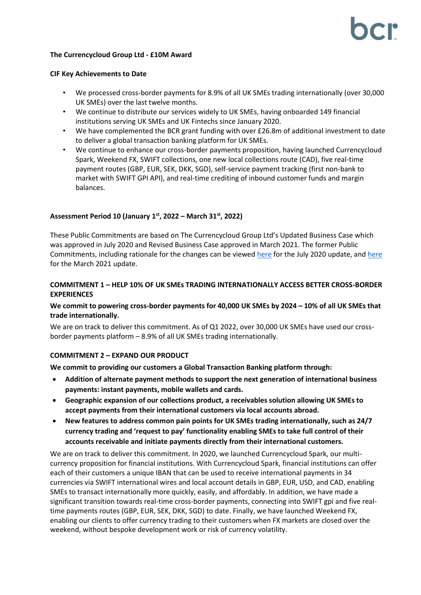## **The Currencycloud Group Ltd - £10M Award**

## **CIF Key Achievements to Date**

- We processed cross-border payments for 8.9% of all UK SMEs trading internationally (over 30,000 UK SMEs) over the last twelve months.
- We continue to distribute our services widely to UK SMEs, having onboarded 149 financial institutions serving UK SMEs and UK Fintechs since January 2020.
- We have complemented the BCR grant funding with over £26.8m of additional investment to date to deliver a global transaction banking platform for UK SMEs.
- We continue to enhance our cross-border payments proposition, having launched Currencycloud Spark, Weekend FX, SWIFT collections, one new local collections route (CAD), five real-time payment routes (GBP, EUR, SEK, DKK, SGD), self-service payment tracking (first non-bank to market with SWIFT GPI API), and real-time crediting of inbound customer funds and margin balances.

# **Assessment Period 10 (January 1 st, 2022 – March 31 st, 2022)**

These Public Commitments are based on The Currencycloud Group Ltd's Updated Business Case which was approved in July 2020 and Revised Business Case approved in March 2021. The former Public Commitments, including rationale for the changes can be viewe[d here](https://bcr-ltd.com/wp-content/uploads/2020/08/Currencycloud_Public-Commitments-Q220v1.0.pdf) for the July 2020 update, and [here](https://bcr-ltd.com/wp-content/uploads/2021/05/Currencycloud_Public-Commitments-Q121v1.0.pdf) for the March 2021 update.

# **COMMITMENT 1 – HELP 10% OF UK SMEs TRADING INTERNATIONALLY ACCESS BETTER CROSS-BORDER EXPERIENCES**

# **We commit to powering cross-border payments for 40,000 UK SMEs by 2024 – 10% of all UK SMEs that trade internationally.**

We are on track to deliver this commitment. As of Q1 2022, over 30,000 UK SMEs have used our crossborder payments platform – 8.9% of all UK SMEs trading internationally.

## **COMMITMENT 2 – EXPAND OUR PRODUCT**

**We commit to providing our customers a Global Transaction Banking platform through:** 

- **Addition of alternate payment methods to support the next generation of international business payments: instant payments, mobile wallets and cards.**
- **Geographic expansion of our collections product, a receivables solution allowing UK SMEs to accept payments from their international customers via local accounts abroad.**
- **New features to address common pain points for UK SMEs trading internationally, such as 24/7 currency trading and 'request to pay' functionality enabling SMEs to take full control of their accounts receivable and initiate payments directly from their international customers.**

We are on track to deliver this commitment. In 2020, we launched Currencycloud Spark, our multicurrency proposition for financial institutions. With Currencycloud Spark, financial institutions can offer each of their customers a unique IBAN that can be used to receive international payments in 34 currencies via SWIFT international wires and local account details in GBP, EUR, USD, and CAD, enabling SMEs to transact internationally more quickly, easily, and affordably. In addition, we have made a significant transition towards real-time cross-border payments, connecting into SWIFT gpi and five realtime payments routes (GBP, EUR, SEK, DKK, SGD) to date. Finally, we have launched Weekend FX, enabling our clients to offer currency trading to their customers when FX markets are closed over the weekend, without bespoke development work or risk of currency volatility.